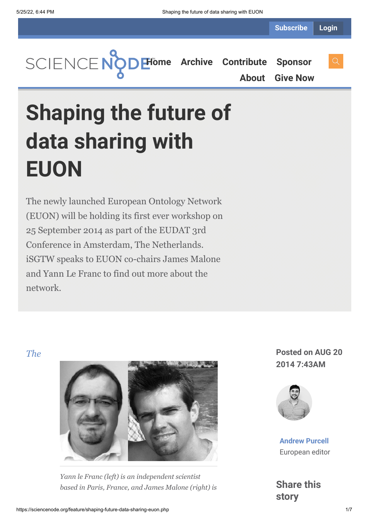**[Home](https://sciencenode.org/) [Archive](https://sciencenode.org/archive/index.php) [Contribute](https://sciencenode.org/contribute/index.php) [Sponsor](https://sciencenode.org/sponsor/index.php) [About](https://sciencenode.org/about/index.php) [Give Now](https://sciencenode.org/donate/index.php)**

# **Shaping the future of data sharing with EUON**

The newly launched European Ontology Network (EUON) will be holding its first ever workshop on 25 September 2014 as part of the EUDAT 3rd Conference in Amsterdam, The Netherlands. iSGTW speaks to EUON co-chairs James Malone and Yann Le Franc to find out more about the network.



*Yann le Franc (left) is an independent scientist [based in Paris, France, and James Malone \(right\)](http://www.eudat.eu/euon) is*

*The* **Posted on AUG 20 2014 7:43AM**



**[Andrew Purcell](https://sciencenode.org/author/andrew-purcell.php)** European editor

**Share this story**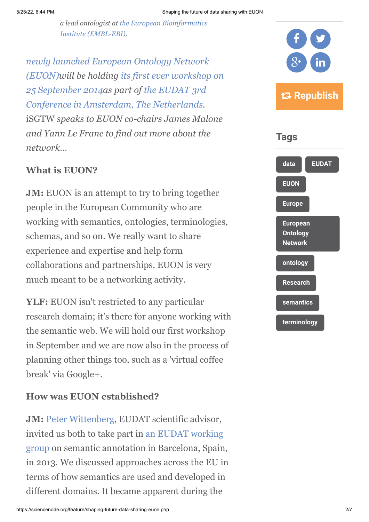*[a lead ontologist at the European Bioinformatics](http://www.ebi.ac.uk/) Institute (EMBL-EBI).*

*[newly launched European Ontology Network](http://www.eudat.eu/euon) (EUON)will be holding its first ever workshop on [25 September 2014as part of](http://www.eudat.eu/euon/euon-2014-workshop) the EUDAT 3rd [Conference in Amsterdam, The Netherlands.](http://www.eudat.eu/conferences)* iSGTW *speaks to EUON co-chairs James Malone and Yann Le Franc to find out more about the network…*

#### **What is EUON?**

**JM:** EUON is an attempt to try to bring together people in the European Community who are working with semantics, ontologies, terminologies, schemas, and so on. We really want to share experience and expertise and help form collaborations and partnerships. EUON is very much meant to be a networking activity.

**YLF:** EUON isn't restricted to any particular research domain; it's there for anyone working with the semantic web. We will hold our first workshop in September and we are now also in the process of planning other things too, such as a 'virtual coffee break' via Google+.

#### **How was EUON established?**

**JM:** [Peter Wittenberg,](http://www.mpi.nl/people/wittenburg-peter) EUDAT scientific advisor, invited us both to take part in an EUDAT working [group on semantic annotation in Barcelona, Spain](http://www.eudat.eu/working-groups), in 2013. We discussed approaches across the EU in terms of how semantics are used and developed in different domains. It became apparent during the



# **Republish**



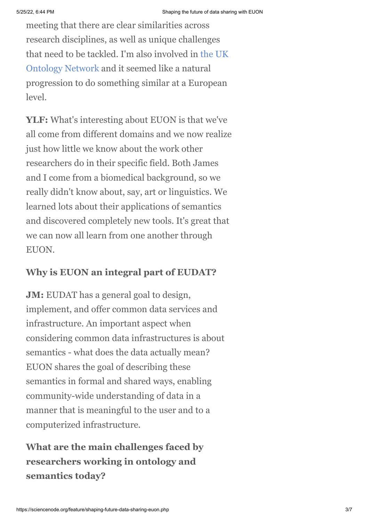meeting that there are clear similarities across research disciplines, as well as unique challenges [that need to be tackled. I'm also involved in the UK](http://www.ukontology.org/) Ontology Network and it seemed like a natural progression to do something similar at a European level.

**YLF:** What's interesting about EUON is that we've all come from different domains and we now realize just how little we know about the work other researchers do in their specific field. Both James and I come from a biomedical background, so we really didn't know about, say, art or linguistics. We learned lots about their applications of semantics and discovered completely new tools. It's great that we can now all learn from one another through EUON.

#### **Why is EUON an integral part of EUDAT?**

**JM:** EUDAT has a general goal to design, implement, and offer common data services and infrastructure. An important aspect when considering common data infrastructures is about semantics - what does the data actually mean? EUON shares the goal of describing these semantics in formal and shared ways, enabling community-wide understanding of data in a manner that is meaningful to the user and to a computerized infrastructure.

# **What are the main challenges faced by researchers working in ontology and semantics today?**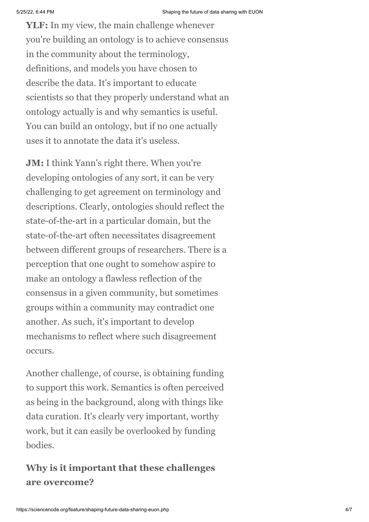**YLF:** In my view, the main challenge whenever you're building an ontology is to achieve consensus in the community about the terminology, definitions, and models you have chosen to describe the data. It's important to educate scientists so that they properly understand what an ontology actually is and why semantics is useful. You can build an ontology, but if no one actually uses it to annotate the data it's useless.

**JM:** I think Yann's right there. When you're developing ontologies of any sort, it can be very challenging to get agreement on terminology and descriptions. Clearly, ontologies should reflect the state-of-the-art in a particular domain, but the state-of-the-art often necessitates disagreement between different groups of researchers. There is a perception that one ought to somehow aspire to make an ontology a flawless reflection of the consensus in a given community, but sometimes groups within a community may contradict one another. As such, it's important to develop mechanisms to reflect where such disagreement occurs.

Another challenge, of course, is obtaining funding to support this work. Semantics is often perceived as being in the background, along with things like data curation. It's clearly very important, worthy work, but it can easily be overlooked by funding bodies.

#### **Why is it important that these challenges are overcome?**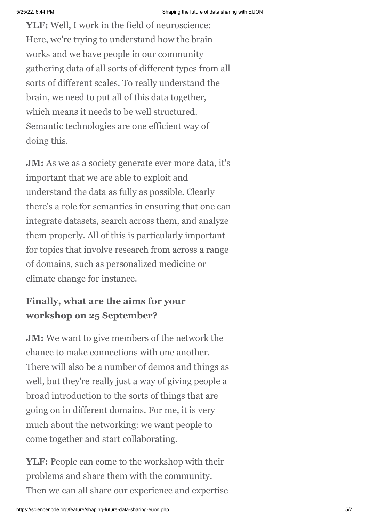**YLF:** Well, I work in the field of neuroscience: Here, we're trying to understand how the brain works and we have people in our community gathering data of all sorts of different types from all sorts of different scales. To really understand the brain, we need to put all of this data together, which means it needs to be well structured. Semantic technologies are one efficient way of doing this.

**JM:** As we as a society generate ever more data, it's important that we are able to exploit and understand the data as fully as possible. Clearly there's a role for semantics in ensuring that one can integrate datasets, search across them, and analyze them properly. All of this is particularly important for topics that involve research from across a range of domains, such as personalized medicine or climate change for instance.

### **Finally, what are the aims for your workshop on 25 September?**

**JM:** We want to give members of the network the chance to make connections with one another. There will also be a number of demos and things as well, but they're really just a way of giving people a broad introduction to the sorts of things that are going on in different domains. For me, it is very much about the networking: we want people to come together and start collaborating.

**YLF:** People can come to the workshop with their problems and share them with the community. Then we can all share our experience and expertise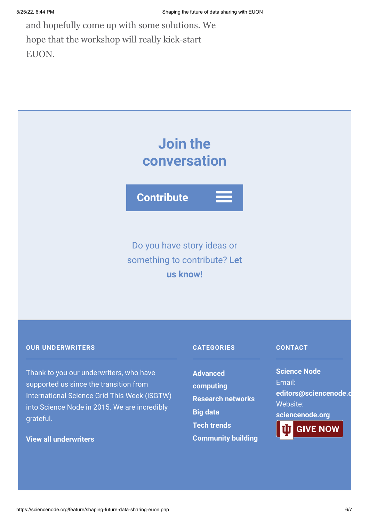and hopefully come up with some solutions. We hope that the workshop will really kick-start EUON.

# **Join the conversation**

**Contribute**

# Do you have story ideas or something to contribute? **Let us know!**

#### **OUR UNDERWRITERS**

Thank to you our underwriters, who have supported us since the transition from International Science Grid This Week (iSGTW) into Science Node in 2015. We are incredibly grateful.

#### **[View all underwriters](https://sciencenode.org/about/index.php)**

#### **CATEGORIES**

**Advanced [computing](https://sciencenode.org/archive/?year=2016&category=Advanced%20computing) [Research networks](https://sciencenode.org/archive/?year=2016&category=Advanced%20computing&category=Research%20networks) [Big data](https://sciencenode.org/archive/?year=2016&category=Advanced%20computing&category=Research%20networks&category=Big%20data) [Tech trends](https://sciencenode.org/archive/?year=2016&category=Advanced%20computing&category=Research%20networks&category=Big%20data&category=Tech%20trends) [Community building](https://sciencenode.org/archive/?year=2016&category=Advanced%20computing&category=Research%20networks&category=Big%20data&category=Tech%20trends&category=Community%20building)**

#### **CONTACT**

**Science Node** Email: **[editors@sciencenode.o](mailto:edit%6F%72s@s%63%69encenode.%6F%72%67)** Website: **[sciencenode.org](https://sciencenode.org/) GIVE NOW**